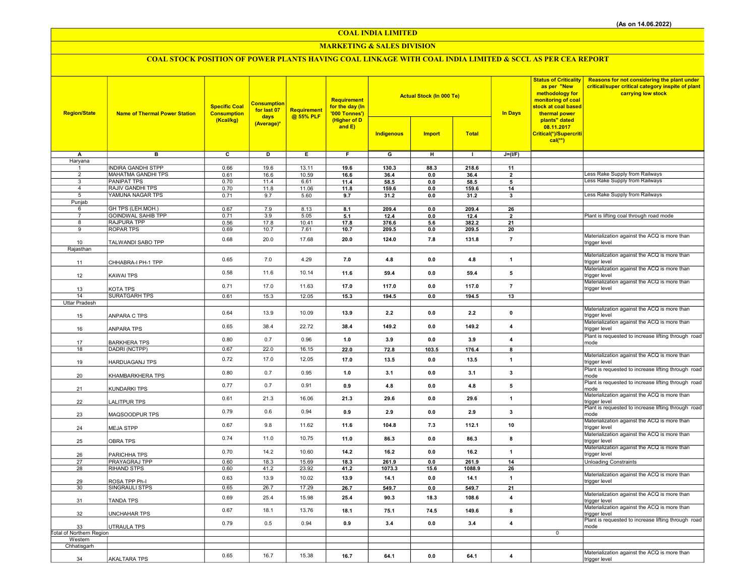COAL INDIA LIMITED

## MARKETING & SALES DIVISION

# COAL STOCK POSITION OF POWER PLANTS HAVING COAL LINKAGE WITH COAL INDIA LIMITED & SCCL AS PER CEA REPORT

| <b>Region/State</b>      | <b>Name of Thermal Power Station</b>        | <b>Specific Coal</b><br><b>Consumption</b> | <b>Consumption</b><br>for last 07<br>days | Requirement<br>@ 55% PLF | <b>Requirement</b><br>for the day (In<br>'000 Tonnes') |                         | <b>Actual Stock (In 000 Te)</b> |                | <b>In Days</b>           | <b>Status of Criticality</b><br>as per "New<br>methodology for<br>monitoring of coal<br>stock at coal based<br>thermal power | <b>Reasons for not considering the plant under</b><br>critical/super critical category inspite of plant<br>carrying low stock |
|--------------------------|---------------------------------------------|--------------------------------------------|-------------------------------------------|--------------------------|--------------------------------------------------------|-------------------------|---------------------------------|----------------|--------------------------|------------------------------------------------------------------------------------------------------------------------------|-------------------------------------------------------------------------------------------------------------------------------|
|                          |                                             | (Kcal/kg)                                  | (Average)*                                |                          | (Higher of D<br>and E)                                 | Indigenous              | <b>Import</b>                   | <b>Total</b>   |                          | plants" dated<br>08.11.2017<br>Critical(*)/Supercriti<br>$cal$ (**)                                                          |                                                                                                                               |
| А                        | $\overline{\mathbf{B}}$                     | $\overline{\mathbf{c}}$                    | ъ                                         | Έ                        | F                                                      | $\overline{\mathsf{G}}$ | $\overline{H}$                  | $\mathbf{I}$   | $J=(I/F)$                |                                                                                                                              |                                                                                                                               |
| Haryana                  | <b>INDIRA GANDHI STPP</b>                   | 0.66                                       | 19.6                                      | 13.11                    | 19.6                                                   | 130.3                   | 88.3                            | 218.6          | 11                       |                                                                                                                              |                                                                                                                               |
| $\overline{2}$           | <b>MAHATMA GANDHI TPS</b>                   | 0.61                                       | 16.6                                      | 10.59                    | 16.6                                                   | 36.4                    | 0.0                             | 36.4           | $\overline{2}$           |                                                                                                                              | Less Rake Supply from Railways                                                                                                |
| 3                        | <b>PANIPAT TPS</b>                          | 0.70                                       | 11.4                                      | 6.61                     | 11.4                                                   | 58.5                    | 0.0                             | 58.5           | 5                        |                                                                                                                              | Less Rake Supply from Railways                                                                                                |
| $\overline{4}$<br>5      | <b>RAJIV GANDHI TPS</b><br>YAMUNA NAGAR TPS | 0.70<br>0.71                               | 11.8<br>9.7                               | 11.06<br>5.60            | 11.8                                                   | 159.6                   | 0.0                             | 159.6          | 14                       |                                                                                                                              | Less Rake Supply from Railways                                                                                                |
| Punjab                   |                                             |                                            |                                           |                          | 9.7                                                    | 31.2                    | 0.0                             | 31.2           | 3                        |                                                                                                                              |                                                                                                                               |
| 6                        | GH TPS (LEH.MOH.)                           | 0.67                                       | 7.9                                       | 8.13                     | 8.1                                                    | 209.4                   | 0.0                             | 209.4          | 26                       |                                                                                                                              |                                                                                                                               |
| $\overline{7}$           | <b>GOINDWAL SAHIB TPP</b>                   | 0.71                                       | 3.9                                       | 5.05                     | 5.1                                                    | 12.4                    | $0.0\,$                         | 12.4           | $\overline{\phantom{a}}$ |                                                                                                                              | Plant is lifting coal through road mode                                                                                       |
| 8<br>$\overline{9}$      | <b>RAJPURA TPP</b><br><b>ROPAR TPS</b>      | 0.56<br>0.69                               | 17.8<br>10.7                              | 10.41<br>7.61            | 17.8<br>10.7                                           | 376.6<br>209.5          | 5.6<br>0.0                      | 382.2<br>209.5 | 21<br>20                 |                                                                                                                              |                                                                                                                               |
|                          |                                             | 0.68                                       | 20.0                                      | 17.68                    |                                                        |                         |                                 |                |                          |                                                                                                                              | Materialization against the ACQ is more than                                                                                  |
| 10                       | TALWANDI SABO TPP                           |                                            |                                           |                          | 20.0                                                   | 124.0                   | 7.8                             | 131.8          | $\overline{7}$           |                                                                                                                              | trigger level                                                                                                                 |
| Rajasthan                |                                             |                                            |                                           |                          |                                                        |                         |                                 |                |                          |                                                                                                                              | Materialization against the ACQ is more than                                                                                  |
| 11                       | CHHABRA-I PH-1 TPP                          | 0.65                                       | 7.0                                       | 4.29                     | 7.0                                                    | 4.8                     | 0.0                             | 4.8            | $\mathbf{1}$             |                                                                                                                              | trigger level                                                                                                                 |
| 12                       | KAWAI TPS                                   | 0.58                                       | 11.6                                      | 10.14                    | 11.6                                                   | 59.4                    | 0.0                             | 59.4           | 5                        |                                                                                                                              | Materialization against the ACQ is more than<br>trigger level                                                                 |
| 13                       | KOTA TPS                                    | 0.71                                       | 17.0                                      | 11.63                    | 17.0                                                   | 117.0                   | 0.0                             | 117.0          | $\overline{7}$           |                                                                                                                              | Materialization against the ACQ is more than<br>trigger level                                                                 |
| 14                       | <b>SURATGARH TPS</b>                        | 0.61                                       | 15.3                                      | 12.05                    | 15.3                                                   | 194.5                   | 0.0                             | 194.5          | 13                       |                                                                                                                              |                                                                                                                               |
| <b>Uttar Pradesh</b>     |                                             |                                            |                                           |                          |                                                        |                         |                                 |                |                          |                                                                                                                              |                                                                                                                               |
| 15                       | ANPARA C TPS                                | 0.64                                       | 13.9                                      | 10.09                    | 13.9                                                   | 2.2                     | 0.0                             | 2.2            | $\pmb{0}$                |                                                                                                                              | Materialization against the ACQ is more than<br>trigger level                                                                 |
| 16                       | ANPARA TPS                                  | 0.65                                       | 38.4                                      | 22.72                    | 38.4                                                   | 149.2                   | 0.0                             | 149.2          | $\overline{4}$           |                                                                                                                              | Materialization against the ACQ is more than<br>trigger level                                                                 |
| 17                       | <b>BARKHERA TPS</b>                         | 0.80                                       | 0.7                                       | 0.96                     | 1.0                                                    | 3.9                     | 0.0                             | 3.9            | $\overline{\mathbf{4}}$  |                                                                                                                              | Plant is requested to increase lifting through road<br>mode                                                                   |
| 18                       | DADRI (NCTPP)                               | 0.67                                       | 22.0                                      | 16.15                    | 22.0                                                   | 72.8                    | 103.5                           | 176.4          | 8                        |                                                                                                                              |                                                                                                                               |
| 19                       | HARDUAGANJ TPS                              | 0.72                                       | 17.0                                      | 12.05                    | 17.0                                                   | 13.5                    | 0.0                             | 13.5           | $\mathbf{1}$             |                                                                                                                              | Materialization against the ACQ is more than<br>trigger level                                                                 |
| 20                       | KHAMBARKHERA TPS                            | 0.80                                       | 0.7                                       | 0.95                     | 1.0                                                    | 3.1                     | 0.0                             | 3.1            | 3                        |                                                                                                                              | Plant is requested to increase lifting through road<br>mode                                                                   |
| 21                       | KUNDARKI TPS                                | 0.77                                       | 0.7                                       | 0.91                     | 0.9                                                    | 4.8                     | 0.0                             | 4.8            | 5                        |                                                                                                                              | Plant is requested to increase lifting through road<br>mode                                                                   |
| 22                       | LALITPUR TPS                                | 0.61                                       | 21.3                                      | 16.06                    | 21.3                                                   | 29.6                    | 0.0                             | 29.6           | $\mathbf{1}$             |                                                                                                                              | Materialization against the ACQ is more than<br>trigger level                                                                 |
| 23                       | MAQSOODPUR TPS                              | 0.79                                       | 0.6                                       | 0.94                     | 0.9                                                    | 2.9                     | 0.0                             | 2.9            | 3                        |                                                                                                                              | Plant is requested to increase lifting through road<br>mode                                                                   |
| 24                       | <b>MEJA STPP</b>                            | 0.67                                       | 9.8                                       | 11.62                    | 11.6                                                   | 104.8                   | 7.3                             | 112.1          | 10                       |                                                                                                                              | Materialization against the ACQ is more than<br>trigger level                                                                 |
| 25                       | <b>OBRA TPS</b>                             | 0.74                                       | 11.0                                      | 10.75                    | 11.0                                                   | 86.3                    | 0.0                             | 86.3           | 8                        |                                                                                                                              | Materialization against the ACQ is more than<br>trigger level                                                                 |
| 26                       | PARICHHA TPS                                | 0.70                                       | 14.2                                      | 10.60                    | 14.2                                                   | 16.2                    | 0.0                             | 16.2           | $\mathbf{1}$             |                                                                                                                              | Materialization against the ACQ is more than<br>trigger level                                                                 |
| 27                       | PRAYAGRAJ TPP                               | 0.60                                       | 18.3                                      | 15.69                    | 18.3                                                   | 261.9                   | 0.0                             | 261.9          | 14                       |                                                                                                                              | <b>Unloading Constraints</b>                                                                                                  |
| 28                       | <b>RIHAND STPS</b>                          | 0.60                                       | 41.2                                      | 23.92                    | 41.2                                                   | 1073.3                  | 15.6                            | 1088.9         | 26                       |                                                                                                                              | Materialization against the ACQ is more than                                                                                  |
| 29                       | ROSA TPP Ph-I                               | 0.63                                       | 13.9                                      | 10.02                    | 13.9                                                   | 14.1                    | 0.0                             | 14.1           | 1                        |                                                                                                                              | trigger level                                                                                                                 |
| 30                       | <b>SINGRAULI STPS</b>                       | 0.65                                       | 26.7                                      | 17.29                    | 26.7                                                   | 549.7                   | 0.0                             | 549.7          | 21                       |                                                                                                                              |                                                                                                                               |
| 31                       | TANDA TPS                                   | 0.69                                       | 25.4                                      | 15.98                    | 25.4                                                   | 90.3                    | 18.3                            | 108.6          | 4                        |                                                                                                                              | Materialization against the ACQ is more than<br>trigger level                                                                 |
| 32                       | <b>UNCHAHAR TPS</b>                         | 0.67                                       | 18.1                                      | 13.76                    | 18.1                                                   | 75.1                    | 74.5                            | 149.6          | 8                        |                                                                                                                              | Materialization against the ACQ is more than<br>trigger level<br>Plant is requested to increase lifting through road          |
| 33                       | UTRAULA TPS                                 | 0.79                                       | 0.5                                       | 0.94                     | 0.9                                                    | 3.4                     | 0.0                             | 3.4            | $\overline{\mathbf{4}}$  |                                                                                                                              | mode                                                                                                                          |
| Total of Northern Region |                                             |                                            |                                           |                          |                                                        |                         |                                 |                |                          | $\mathbf 0$                                                                                                                  |                                                                                                                               |
| Western<br>Chhatisgarh   |                                             |                                            |                                           |                          |                                                        |                         |                                 |                |                          |                                                                                                                              |                                                                                                                               |
|                          |                                             | 0.65                                       | 16.7                                      |                          |                                                        |                         |                                 |                |                          |                                                                                                                              | Materialization against the ACQ is more than                                                                                  |
| 34                       | <b>AKALTARA TPS</b>                         |                                            |                                           | 15.38                    | 16.7                                                   | 64.1                    | 0.0                             | 64.1           | $\overline{\mathbf{4}}$  |                                                                                                                              | trigger level                                                                                                                 |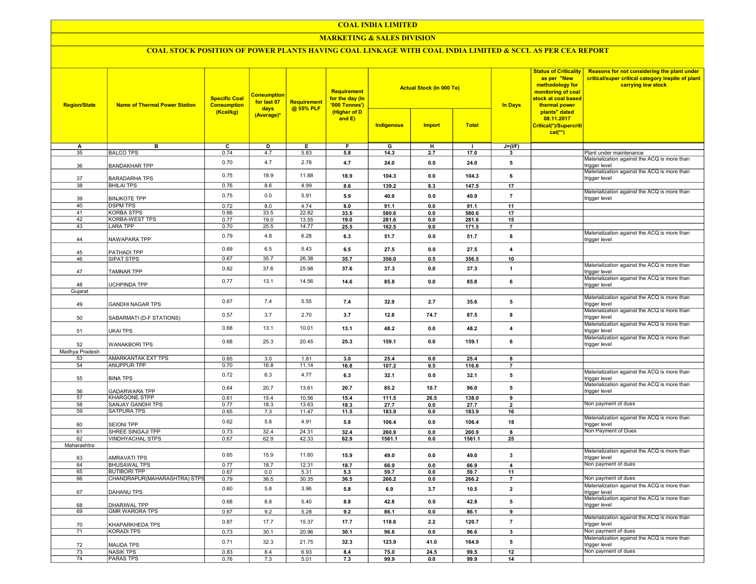#### COAL INDIA LIMITED

#### MARKETING & SALES DIVISION

# COAL STOCK POSITION OF POWER PLANTS HAVING COAL LINKAGE WITH COAL INDIA LIMITED & SCCL AS PER CEA REPORT

| <b>Region/State</b> | <b>Name of Thermal Power Station</b>      | <b>Specific Coal</b><br><b>Consumption</b><br>(Kcal/kg) | <b>Consumption</b><br>for last 07<br>days<br>(Average)* | Requirement<br>@ 55% PLF | Requirement<br>for the day (In<br>'000 Tonnes')<br>(Higher of D<br>and E) |               | <b>Actual Stock (In 000 Te)</b> |               | <b>Status of Criticality</b><br>as per "New<br>methodology for<br>monitoring of coal<br>stock at coal based<br><b>In Days</b><br>thermal power | Reasons for not considering the plant under<br>critical/super critical category inspite of plant<br>carrying low stock |                                                                                                               |
|---------------------|-------------------------------------------|---------------------------------------------------------|---------------------------------------------------------|--------------------------|---------------------------------------------------------------------------|---------------|---------------------------------|---------------|------------------------------------------------------------------------------------------------------------------------------------------------|------------------------------------------------------------------------------------------------------------------------|---------------------------------------------------------------------------------------------------------------|
|                     |                                           |                                                         |                                                         |                          |                                                                           | Indigenous    | <b>Import</b>                   | <b>Total</b>  |                                                                                                                                                | plants" dated<br>08.11.2017<br>Critical(*)/Supercriti<br>$cal(**)$                                                     |                                                                                                               |
| А                   | в                                         | $\overline{c}$                                          | D                                                       | E                        | F                                                                         | G             | н                               |               | $J=(I/F)$                                                                                                                                      |                                                                                                                        |                                                                                                               |
| 35                  | <b>BALCO TPS</b>                          | 0.74                                                    | 4.7                                                     | 5.83                     | 5.8                                                                       | 14.3          | 2.7                             | 17.0          | $\mathbf{3}$                                                                                                                                   |                                                                                                                        | Plant under maintenance                                                                                       |
| 36                  | <b>BANDAKHAR TPP</b>                      | 0.70                                                    | 4.7                                                     | 2.78                     | 4.7                                                                       | 24.0          | 0.0                             | 24.0          | 5                                                                                                                                              |                                                                                                                        | Materialization against the ACQ is more than<br>trigger level<br>Materialization against the ACQ is more than |
| 37                  | <b>BARADARHA TPS</b>                      | 0.75                                                    | 18.9                                                    | 11.88                    | 18.9                                                                      | 104.3         | 0.0                             | 104.3         | 6                                                                                                                                              |                                                                                                                        | trigger level                                                                                                 |
| 38                  | <b>BHILAI TPS</b>                         | 0.76                                                    | 8.6                                                     | 4.99                     | 8.6                                                                       | 139.2         | 8.3                             | 147.5         | 17                                                                                                                                             |                                                                                                                        | Materialization against the ACQ is more than                                                                  |
| 39                  | <b>BINJKOTE TPP</b>                       | 0.75                                                    | 0.0                                                     | 5.91                     | 5.9                                                                       | 40.9          | 0.0                             | 40.9          | $\overline{7}$                                                                                                                                 |                                                                                                                        | trigger level                                                                                                 |
| 40<br>41            | <b>DSPM TPS</b><br><b>KORBA STPS</b>      | 0.72<br>0.66                                            | 8.0<br>33.5                                             | 4.74<br>22.82            | 8.0<br>33.5                                                               | 91.1<br>580.6 | 0.0<br>0.0                      | 91.1<br>580.6 | 11<br>17                                                                                                                                       |                                                                                                                        |                                                                                                               |
| $\overline{42}$     | <b>KORBA-WEST TPS</b>                     | 0.77                                                    | 19.0                                                    | 13.55                    | 19.0                                                                      | 281.6         | 0.0                             | 281.6         | 15                                                                                                                                             |                                                                                                                        |                                                                                                               |
| 43                  | <b>LARA TPP</b>                           | 0.70                                                    | 25.5                                                    | 14.77                    | 25.5                                                                      | 162.5         | 9.0                             | 171.5         | $\overline{7}$                                                                                                                                 |                                                                                                                        |                                                                                                               |
| 44                  | NAWAPARA TPP                              | 0.79                                                    | 4.8                                                     | 6.28                     | 6.3                                                                       | 51.7          | 0.0                             | 51.7          | 8                                                                                                                                              |                                                                                                                        | Materialization against the ACQ is more than<br>trigger level                                                 |
| 45                  | PATHADI TPP                               | 0.69                                                    | 6.5                                                     | 5.43                     | 6.5                                                                       | 27.5          | 0.0                             | 27.5          | $\overline{4}$                                                                                                                                 |                                                                                                                        |                                                                                                               |
| 46                  | SIPAT STPS                                | 0.67                                                    | 35.7                                                    | 26.38                    | 35.7                                                                      | 356.0         | 0.5                             | 356.5         | 10                                                                                                                                             |                                                                                                                        |                                                                                                               |
| 47                  | <b>TAMNAR TPP</b>                         | 0.82                                                    | 37.6                                                    | 25.98                    | 37.6                                                                      | 37.3          | 0.0                             | 37.3          | $\mathbf{1}$                                                                                                                                   |                                                                                                                        | Materialization against the ACQ is more than<br>trigger level                                                 |
|                     |                                           | 0.77                                                    | 13.1                                                    | 14.56                    | 14.6                                                                      | 85.8          | 0.0                             | 85.8          | $\bf{6}$                                                                                                                                       |                                                                                                                        | Materialization against the ACQ is more than                                                                  |
| 48                  | UCHPINDA TPP                              |                                                         |                                                         |                          |                                                                           |               |                                 |               |                                                                                                                                                |                                                                                                                        | trigger level                                                                                                 |
| Gujarat             |                                           |                                                         |                                                         |                          |                                                                           |               |                                 |               |                                                                                                                                                |                                                                                                                        | Materialization against the ACQ is more than                                                                  |
| 49                  | <b>GANDHI NAGAR TPS</b>                   | 0.67                                                    | 7.4                                                     | 5.55                     | 7.4                                                                       | 32.9          | 2.7                             | 35.6          | 5                                                                                                                                              |                                                                                                                        | rigger level<br>Materialization against the ACQ is more than                                                  |
| 50                  | SABARMATI (D-F STATIONS)                  | 0.57                                                    | 3.7                                                     | 2.70                     | 3.7                                                                       | 12.8          | 74.7                            | 87.5          | 8                                                                                                                                              |                                                                                                                        | trigger level                                                                                                 |
| 51                  | <b>UKAI TPS</b>                           | 0.68                                                    | 13.1                                                    | 10.01                    | 13.1                                                                      | 48.2          | 0.0                             | 48.2          | $\overline{\mathbf{4}}$                                                                                                                        |                                                                                                                        | Materialization against the ACQ is more than<br>trigger level                                                 |
| 52                  | <b>WANAKBORI TPS</b>                      | 0.68                                                    | 25.3                                                    | 20.45                    | 25.3                                                                      | 159.1         | 0.0                             | 159.1         | 6                                                                                                                                              |                                                                                                                        | Materialization against the ACQ is more than<br>trigger level                                                 |
| Madhya Pradesh      |                                           |                                                         |                                                         |                          |                                                                           |               |                                 |               |                                                                                                                                                |                                                                                                                        |                                                                                                               |
| 53                  | AMARKANTAK EXT TPS                        | 0.65                                                    | 3.0                                                     | 1.81                     | 3.0                                                                       | 25.4          | 0.0                             | 25.4          | 8                                                                                                                                              |                                                                                                                        |                                                                                                               |
| 54                  | <b>ANUPPUR TPP</b>                        | 0.70                                                    | 16.8                                                    | 11.14                    | 16.8                                                                      | 107.2         | 9.5                             | 116.6         | $\overline{7}$                                                                                                                                 |                                                                                                                        |                                                                                                               |
| 55                  | <b>BINA TPS</b>                           | 0.72                                                    | 6.3                                                     | 4.77                     | 6.3                                                                       | 32.1          | 0.0                             | 32.1          | 5                                                                                                                                              |                                                                                                                        | Materialization against the ACQ is more than<br>trigger level                                                 |
| 56                  | <b>GADARWARA TPP</b>                      | 0.64                                                    | 20.7                                                    | 13.61                    | 20.7                                                                      | 85.2          | 10.7                            | 96.0          | 5                                                                                                                                              |                                                                                                                        | Materialization against the ACQ is more than<br>trigger level                                                 |
| $\overline{57}$     | <b>KHARGONE STPP</b><br>SANJAY GANDHI TPS | 0.61                                                    | 15.4                                                    | 10.56                    | 15.4                                                                      | 111.5         | 26.5                            | 138.0         | 9                                                                                                                                              |                                                                                                                        | Non payment of dues                                                                                           |
| 58<br>59            | <b>SATPURA TPS</b>                        | 0.77<br>0.65                                            | 18.3<br>7.3                                             | 13.63<br>11.47           | 18.3<br>11.5                                                              | 27.7<br>183.9 | 0.0<br>0.0                      | 27.7<br>183.9 | $\overline{2}$<br>16                                                                                                                           |                                                                                                                        |                                                                                                               |
| 60                  | <b>SEIONI TPP</b>                         | 0.62                                                    | 5.8                                                     | 4.91                     | 5.8                                                                       | 106.4         | 0.0                             | 106.4         | 18                                                                                                                                             |                                                                                                                        | Materialization against the ACQ is more than<br>trigger level                                                 |
| 61                  | SHREE SINGAJI TPP                         | 0.73                                                    | 32.4                                                    | 24.31                    | 32.4                                                                      | 260.9         | 0.0                             | 260.9         | 8                                                                                                                                              |                                                                                                                        | Non Payment of Dues                                                                                           |
| 62                  | <b>VINDHYACHAL STPS</b>                   | 0.67                                                    | 62.9                                                    | 42.33                    | 62.9                                                                      | 1561.1        | 0.0                             | 1561.1        | 25                                                                                                                                             |                                                                                                                        |                                                                                                               |
| Maharashtra         |                                           |                                                         |                                                         |                          |                                                                           |               |                                 |               |                                                                                                                                                |                                                                                                                        |                                                                                                               |
| 63                  | AMRAVATI TPS                              | 0.65                                                    | 15.9                                                    | 11.60                    | 15.9                                                                      | 49.0          | 0.0                             | 49.0          | $\mathbf{3}$                                                                                                                                   |                                                                                                                        | Materialization against the ACQ is more than<br>trigger level                                                 |
| 64                  | <b>BHUSAWAL TPS</b>                       | 0.77                                                    | 18.7                                                    | 12.31                    | 18.7                                                                      | 66.9          | 0.0                             | 66.9          | $\overline{4}$                                                                                                                                 |                                                                                                                        | Non payment of dues                                                                                           |
| 65                  | <b>BUTIBORI TPP</b>                       | 0.67                                                    | 0.0                                                     | 5.31                     | 5.3                                                                       | 59.7          | 0.0                             | 59.7          | 11                                                                                                                                             |                                                                                                                        |                                                                                                               |
| 66                  | CHANDRAPUR(MAHARASHTRA) STPS              | 0.79                                                    | 36.5                                                    | 30.35                    | 36.5                                                                      | 266.2         | 0.0                             | 266.2         | $\overline{7}$                                                                                                                                 |                                                                                                                        | Non payment of dues                                                                                           |
| 67                  | DAHANU TPS                                | 0.60                                                    | 5.8                                                     | 3.96                     | 5.8                                                                       | 6.9           | 3.7                             | 10.5          | $\mathbf 2$                                                                                                                                    |                                                                                                                        | Materialization against the ACQ is more than<br>trigger level                                                 |
| 68                  | <b>DHARIWAL TPP</b>                       | 0.68                                                    | 8.8                                                     | 5.40                     | 8.8                                                                       | 42.8          | 0.0                             | 42.8          | 5                                                                                                                                              |                                                                                                                        | Materialization against the ACQ is more than<br>trigger level                                                 |
| 69                  | <b>GMR WARORA TPS</b>                     | 0.67                                                    | 9.2                                                     | 5.28                     | 9.2                                                                       | 86.1          | 0.0                             | 86.1          | 9                                                                                                                                              |                                                                                                                        |                                                                                                               |
| 70                  | KHAPARKHEDA TPS                           | 0.87                                                    | 17.7                                                    | 15.37                    | 17.7                                                                      | 118.6         | 2.2                             | 120.7         | $\overline{7}$                                                                                                                                 |                                                                                                                        | Materialization against the ACQ is more than<br>trigger level                                                 |
| $\overline{71}$     | <b>KORADI TPS</b>                         | 0.73                                                    | 30.1                                                    | 20.96                    | 30.1                                                                      | 96.6          | 0.0                             | 96.6          | $\overline{\mathbf{3}}$                                                                                                                        |                                                                                                                        | Non payment of dues                                                                                           |
| 72                  | <b>MAUDA TPS</b>                          | 0.71                                                    | 32.3                                                    | 21.75                    | 32.3                                                                      | 123.9         | 41.0                            | 164.9         | ${\bf 5}$                                                                                                                                      |                                                                                                                        | Materialization against the ACQ is more than<br>trigger level                                                 |
| $\overline{73}$     | <b>NASIK TPS</b>                          | 0.83                                                    | 8.4                                                     | 6.93                     | 8.4                                                                       | 75.0          | 24.5                            | 99.5          | 12                                                                                                                                             |                                                                                                                        | Non payment of dues                                                                                           |
| $\overline{74}$     | <b>PARAS TPS</b>                          | 0.76                                                    | 7.3                                                     | 5.01                     | 7.3                                                                       | 99.9          | 0.0                             | 99.9          | 14                                                                                                                                             |                                                                                                                        |                                                                                                               |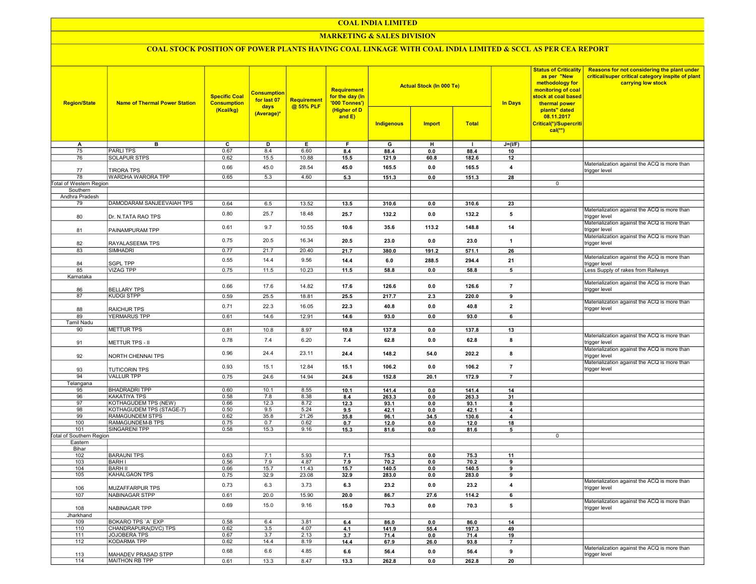## COAL INDIA LIMITED

## **MARKETING & SALES DIVISION**

# COAL STOCK POSITION OF POWER PLANTS HAVING COAL LINKAGE WITH COAL INDIA LIMITED & SCCL AS PER CEA REPORT

| <b>Region/State</b>             | <b>Name of Thermal Power Station</b> | <b>Specific Coal</b><br><b>Consumption</b><br>(Kcal/kg) | <b>Consumption</b><br>for last 07<br>days<br>(Average)* | <b>Requirement</b><br>@ 55% PLF | <b>Requirement</b><br>for the day (In<br>'000 Tonnes')<br>(Higher of D<br>and $E$ ) | <b>Actual Stock (In 000 Te)</b><br><b>Total</b><br>Indigenous<br><b>Import</b> |       | <b>In Days</b> | <b>Status of Criticality</b><br>as per "New<br>methodology for<br>monitoring of coal<br>stock at coal based<br>thermal power<br>plants" dated<br>08.11.2017<br>Critical(*)/Supercriti<br>$cal(**)$ | Reasons for not considering the plant under<br>critical/super critical category inspite of plant<br>carrying low stock |                                                               |
|---------------------------------|--------------------------------------|---------------------------------------------------------|---------------------------------------------------------|---------------------------------|-------------------------------------------------------------------------------------|--------------------------------------------------------------------------------|-------|----------------|----------------------------------------------------------------------------------------------------------------------------------------------------------------------------------------------------|------------------------------------------------------------------------------------------------------------------------|---------------------------------------------------------------|
|                                 |                                      |                                                         |                                                         |                                 |                                                                                     |                                                                                |       |                |                                                                                                                                                                                                    |                                                                                                                        |                                                               |
| A                               | в                                    | C                                                       | D                                                       | Е.                              | F.                                                                                  | G                                                                              | н     | $\mathbf{I}$   | $J=(I/F)$                                                                                                                                                                                          |                                                                                                                        |                                                               |
| 75                              | <b>PARLITPS</b>                      | 0.67                                                    | 8.4                                                     | 6.60                            | 8.4                                                                                 | 88.4                                                                           | 0.0   | 88.4           | 10                                                                                                                                                                                                 |                                                                                                                        |                                                               |
| 76                              | SOLAPUR STPS                         | 0.62                                                    | 15.5                                                    | 10.88                           | 15.5                                                                                | 121.9                                                                          | 60.8  | 182.6          | 12                                                                                                                                                                                                 |                                                                                                                        |                                                               |
| 77                              | <b>TIRORA TPS</b>                    | 0.66                                                    | 45.0                                                    | 28.54                           | 45.0                                                                                | 165.5                                                                          | 0.0   | 165.5          | $\overline{\mathbf{4}}$                                                                                                                                                                            |                                                                                                                        | Materialization against the ACQ is more than<br>trigger level |
| 78                              | <b>WARDHA WARORA TPP</b>             | 0.65                                                    | 5.3                                                     | 4.60                            | 5.3                                                                                 | 151.3                                                                          | 0.0   | 151.3          | 28                                                                                                                                                                                                 |                                                                                                                        |                                                               |
| Total of Western Region         |                                      |                                                         |                                                         |                                 |                                                                                     |                                                                                |       |                |                                                                                                                                                                                                    | 0                                                                                                                      |                                                               |
| Southern                        |                                      |                                                         |                                                         |                                 |                                                                                     |                                                                                |       |                |                                                                                                                                                                                                    |                                                                                                                        |                                                               |
| Andhra Pradesh                  |                                      |                                                         |                                                         |                                 |                                                                                     |                                                                                |       |                |                                                                                                                                                                                                    |                                                                                                                        |                                                               |
| 79                              | DAMODARAM SANJEEVAIAH TPS            | 0.64                                                    | 6.5                                                     | 13.52                           | 13.5                                                                                | 310.6                                                                          | 0.0   | 310.6          | 23                                                                                                                                                                                                 |                                                                                                                        |                                                               |
|                                 |                                      |                                                         |                                                         |                                 |                                                                                     |                                                                                |       |                |                                                                                                                                                                                                    |                                                                                                                        | Materialization against the ACQ is more than                  |
| 80                              | Dr. N.TATA RAO TPS                   | 0.80                                                    | 25.7                                                    | 18.48                           | 25.7                                                                                | 132.2                                                                          | 0.0   | 132.2          | 5                                                                                                                                                                                                  |                                                                                                                        | trigger level<br>Materialization against the ACQ is more than |
| 81                              | PAINAMPURAM TPP                      | 0.61                                                    | 9.7                                                     | 10.55                           | 10.6                                                                                | 35.6                                                                           | 113.2 | 148.8          | 14                                                                                                                                                                                                 |                                                                                                                        | trigger level                                                 |
| 82                              | RAYALASEEMA TPS                      | 0.75                                                    | 20.5                                                    | 16.34                           | 20.5                                                                                | 23.0                                                                           | 0.0   | 23.0           | $\overline{1}$                                                                                                                                                                                     |                                                                                                                        | Materialization against the ACQ is more than<br>trigger level |
| 83                              | SIMHADRI                             | 0.77                                                    | 21.7                                                    | 20.40                           | 21.7                                                                                | 380.0                                                                          | 191.2 | 571.1          | 26                                                                                                                                                                                                 |                                                                                                                        |                                                               |
|                                 |                                      |                                                         |                                                         |                                 |                                                                                     |                                                                                |       |                |                                                                                                                                                                                                    |                                                                                                                        | Materialization against the ACQ is more than                  |
| 84                              | <b>SGPL TPP</b>                      | 0.55                                                    | 14.4                                                    | 9.56                            | 14.4                                                                                | 6.0                                                                            | 288.5 | 294.4          | 21                                                                                                                                                                                                 |                                                                                                                        | trigger level                                                 |
| 85                              | VIZAG TPP                            | 0.75                                                    | 11.5                                                    | 10.23                           | 11.5                                                                                | 58.8                                                                           | 0.0   | 58.8           | 5                                                                                                                                                                                                  |                                                                                                                        | Less Supply of rakes from Railways                            |
| Karnataka                       |                                      |                                                         |                                                         |                                 |                                                                                     |                                                                                |       |                |                                                                                                                                                                                                    |                                                                                                                        |                                                               |
| 86                              | <b>BELLARY TPS</b>                   | 0.66                                                    | 17.6                                                    | 14.82                           | 17.6                                                                                | 126.6                                                                          | 0.0   | 126.6          | $\overline{7}$                                                                                                                                                                                     |                                                                                                                        | Materialization against the ACQ is more than<br>trigger level |
| 87                              | <b>KUDGI STPP</b>                    | 0.59                                                    | 25.5                                                    | 18.81                           | 25.5                                                                                | 217.7                                                                          | 2.3   | 220.0          | 9                                                                                                                                                                                                  |                                                                                                                        |                                                               |
|                                 |                                      |                                                         |                                                         |                                 |                                                                                     |                                                                                |       |                |                                                                                                                                                                                                    |                                                                                                                        | Materialization against the ACQ is more than                  |
| 88                              | <b>RAICHUR TPS</b>                   | 0.71                                                    | 22.3                                                    | 16.05                           | 22.3                                                                                | 40.8                                                                           | 0.0   | 40.8           | $\overline{2}$                                                                                                                                                                                     |                                                                                                                        | trigger level                                                 |
| 89                              | <b>YERMARUS TPP</b>                  | 0.61                                                    | 14.6                                                    | 12.91                           | 14.6                                                                                | 93.0                                                                           | 0.0   | 93.0           | 6                                                                                                                                                                                                  |                                                                                                                        |                                                               |
| <b>Tamil Nadu</b>               |                                      |                                                         |                                                         |                                 |                                                                                     |                                                                                |       |                |                                                                                                                                                                                                    |                                                                                                                        |                                                               |
| 90                              | <b>METTUR TPS</b>                    | 0.81                                                    | 10.8                                                    | 8.97                            | 10.8                                                                                | 137.8                                                                          | 0.0   | 137.8          | 13                                                                                                                                                                                                 |                                                                                                                        |                                                               |
|                                 |                                      |                                                         |                                                         |                                 |                                                                                     |                                                                                |       |                |                                                                                                                                                                                                    |                                                                                                                        | Materialization against the ACQ is more than                  |
| 91                              | METTUR TPS - II                      | 0.78                                                    | 7.4                                                     | 6.20                            | 7.4                                                                                 | 62.8                                                                           | 0.0   | 62.8           | 8                                                                                                                                                                                                  |                                                                                                                        | trigger level                                                 |
| 92                              | NORTH CHENNAI TPS                    | 0.96                                                    | 24.4                                                    | 23.11                           | 24.4                                                                                | 148.2                                                                          | 54.0  | 202.2          | 8                                                                                                                                                                                                  |                                                                                                                        | Materialization against the ACQ is more than<br>trigger level |
| 93                              | <b>TUTICORIN TPS</b>                 | 0.93                                                    | 15.1                                                    | 12.84                           | 15.1                                                                                | 106.2                                                                          | 0.0   | 106.2          | $\overline{7}$                                                                                                                                                                                     |                                                                                                                        | Materialization against the ACQ is more than<br>trigger level |
| 94                              | <b>VALLUR TPP</b>                    | 0.75                                                    | 24.6                                                    | 14.94                           | 24.6                                                                                | 152.8                                                                          | 20.1  | 172.9          | $\overline{7}$                                                                                                                                                                                     |                                                                                                                        |                                                               |
| Telangana                       |                                      |                                                         |                                                         |                                 |                                                                                     |                                                                                |       |                |                                                                                                                                                                                                    |                                                                                                                        |                                                               |
| 95                              | <b>BHADRADRI TPP</b>                 | 0.60                                                    | 10.1                                                    | 8.55                            | 10.1                                                                                | 141.4                                                                          | 0.0   | 141.4          | 14                                                                                                                                                                                                 |                                                                                                                        |                                                               |
| 96                              | <b>KAKATIYA TPS</b>                  | 0.58                                                    | 7.8                                                     | 8.38                            | 8.4                                                                                 | 263.3                                                                          | 0.0   | 263.3          | 31                                                                                                                                                                                                 |                                                                                                                        |                                                               |
| 97                              | KOTHAGUDEM TPS (NEW)                 | 0.66                                                    | 12.3                                                    | 8.72                            | 12.3                                                                                | 93.1                                                                           | 0.0   | 93.1           | 8                                                                                                                                                                                                  |                                                                                                                        |                                                               |
| 98                              | KOTHAGUDEM TPS (STAGE-7)             | 0.50                                                    | 9.5                                                     | 5.24                            | 9.5                                                                                 | 42.1                                                                           | 0.0   | 42.1           | 4                                                                                                                                                                                                  |                                                                                                                        |                                                               |
| 99                              | RAMAGUNDEM STPS                      | 0.62                                                    | 35.8                                                    | 21.26                           | 35.8                                                                                | 96.1                                                                           | 34.5  | 130.6          | 4                                                                                                                                                                                                  |                                                                                                                        |                                                               |
| 100                             | RAMAGUNDEM-B TPS                     | 0.75                                                    | 0.7                                                     | 0.62                            | 0.7                                                                                 | 12.0                                                                           | 0.0   | 12.0           | 18                                                                                                                                                                                                 |                                                                                                                        |                                                               |
| 101                             | SINGARENI TPP                        | 0.58                                                    | 15.3                                                    | 9.16                            | 15.3                                                                                | 81.6                                                                           | 0.0   | 81.6           | 5                                                                                                                                                                                                  |                                                                                                                        |                                                               |
| <b>Total of Southern Region</b> |                                      |                                                         |                                                         |                                 |                                                                                     |                                                                                |       |                |                                                                                                                                                                                                    | 0                                                                                                                      |                                                               |
| Eastern                         |                                      |                                                         |                                                         |                                 |                                                                                     |                                                                                |       |                |                                                                                                                                                                                                    |                                                                                                                        |                                                               |
| Bihar                           |                                      |                                                         |                                                         |                                 |                                                                                     |                                                                                |       |                |                                                                                                                                                                                                    |                                                                                                                        |                                                               |
| 102                             | <b>BARAUNI TPS</b>                   | 0.63                                                    | 7.1                                                     | 5.93                            | 7.1                                                                                 | 75.3                                                                           | 0.0   | 75.3           | 11                                                                                                                                                                                                 |                                                                                                                        |                                                               |
| 103                             | <b>BARH I</b>                        | 0.56                                                    | 7.9                                                     | 4.87                            | 7.9                                                                                 | 70.2                                                                           | 0.0   | 70.2           | 9                                                                                                                                                                                                  |                                                                                                                        |                                                               |
| 104                             | <b>BARH II</b>                       | 0.66                                                    | 15.7                                                    | 11.43                           | 15.7                                                                                | 140.5                                                                          | 0.0   | 140.5          | 9                                                                                                                                                                                                  |                                                                                                                        |                                                               |
| 105                             | KAHALGAON TPS                        | 0.75                                                    | 32.9                                                    | 23.08                           | 32.9                                                                                | 283.0                                                                          | 0.0   | 283.0          | 9                                                                                                                                                                                                  |                                                                                                                        |                                                               |
| 106                             | <b>MUZAFFARPUR TPS</b>               | 0.73                                                    | 6.3                                                     | 3.73                            | 6.3                                                                                 | 23.2                                                                           | 0.0   | 23.2           | $\overline{4}$                                                                                                                                                                                     |                                                                                                                        | Materialization against the ACQ is more than<br>trigger level |
| 107                             | NABINAGAR STPP                       | 0.61                                                    | 20.0                                                    | 15.90                           | 20.0                                                                                | 86.7                                                                           | 27.6  | 114.2          | 6                                                                                                                                                                                                  |                                                                                                                        |                                                               |
| 108                             | NABINAGAR TPP                        | 0.69                                                    | 15.0                                                    | 9.16                            | 15.0                                                                                | 70.3                                                                           | 0.0   | 70.3           | 5                                                                                                                                                                                                  |                                                                                                                        | Materialization against the ACQ is more than<br>trigger level |
| Jharkhand                       |                                      |                                                         |                                                         |                                 |                                                                                     |                                                                                |       |                |                                                                                                                                                                                                    |                                                                                                                        |                                                               |
| 109                             | BOKARO TPS 'A' EXP                   | 0.58                                                    | 6.4                                                     | 3.81                            | 6.4                                                                                 | 86.0                                                                           | 0.0   | 86.0           | 14                                                                                                                                                                                                 |                                                                                                                        |                                                               |
| 110                             | CHANDRAPURA(DVC) TPS                 | 0.62                                                    | 3.5                                                     | 4.07                            | 4.1                                                                                 | 141.9                                                                          | 55.4  | 197.3          | 49                                                                                                                                                                                                 |                                                                                                                        |                                                               |
| 111                             | JOJOBERA TPS                         | 0.67                                                    | 3.7                                                     | 2.13                            | 3.7                                                                                 | 71.4                                                                           | 0.0   | 71.4           | 19                                                                                                                                                                                                 |                                                                                                                        |                                                               |
| 112                             | KODARMA TPP                          | 0.62                                                    | 14.4                                                    | 8.19                            | 14.4                                                                                | 67.9                                                                           | 26.0  | 93.8           | $\overline{7}$                                                                                                                                                                                     |                                                                                                                        |                                                               |
| 113                             | MAHADEV PRASAD STPP                  | 0.68                                                    | 6.6                                                     | 4.85                            | 6.6                                                                                 | 56.4                                                                           | 0.0   | 56.4           | 9                                                                                                                                                                                                  |                                                                                                                        | Materialization against the ACQ is more than                  |
| 114                             | MAITHON RB TPP                       | 0.61                                                    | 13.3                                                    | 8.47                            | 13.3                                                                                | 262.8                                                                          | 0.0   | 262.8          | 20                                                                                                                                                                                                 |                                                                                                                        | trigger level                                                 |
|                                 |                                      |                                                         |                                                         |                                 |                                                                                     |                                                                                |       |                |                                                                                                                                                                                                    |                                                                                                                        |                                                               |